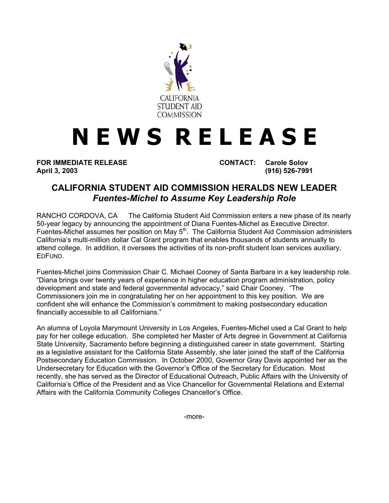

## **N E W S R E L E A S E**

**FOR IMMEDIATE RELEASE CONTACT: Carole Solov April 3, 2003 (916) 526-7991** 

## **CALIFORNIA STUDENT AID COMMISSION HERALDS NEW LEADER**  *Fuentes-Michel to Assume Key Leadership Role*

RANCHO CORDOVA, CA — The California Student Aid Commission enters a new phase of its nearly 50-year legacy by announcing the appointment of Diana Fuentes-Michel as Executive Director. Fuentes-Michel assumes her position on May 5<sup>th</sup>. The California Student Aid Commission administers California's multi-million dollar Cal Grant program that enables thousands of students annually to attend college. In addition, it oversees the activities of its non-profit student loan services auxiliary, EDFUND.

Fuentes-Michel joins Commission Chair C. Michael Cooney of Santa Barbara in a key leadership role. "Diana brings over twenty years of experience in higher education program administration, policy development and state and federal governmental advocacy," said Chair Cooney. "The Commissioners join me in congratulating her on her appointment to this key position. We are confident she will enhance the Commission's commitment to making postsecondary education financially accessible to all Californians."

An alumna of Loyola Marymount University in Los Angeles, Fuentes-Michel used a Cal Grant to help pay for her college education. She completed her Master of Arts degree in Government at California State University, Sacramento before beginning a distinguished career in state government. Starting as a legislative assistant for the California State Assembly, she later joined the staff of the California Postsecondary Education Commission. In October 2000, Governor Gray Davis appointed her as the Undersecretary for Education with the Governor's Office of the Secretary for Education. Most recently, she has served as the Director of Educational Outreach, Public Affairs with the University of California's Office of the President and as Vice Chancellor for Governmental Relations and External Affairs with the California Community Colleges Chancellor's Office.

-more-